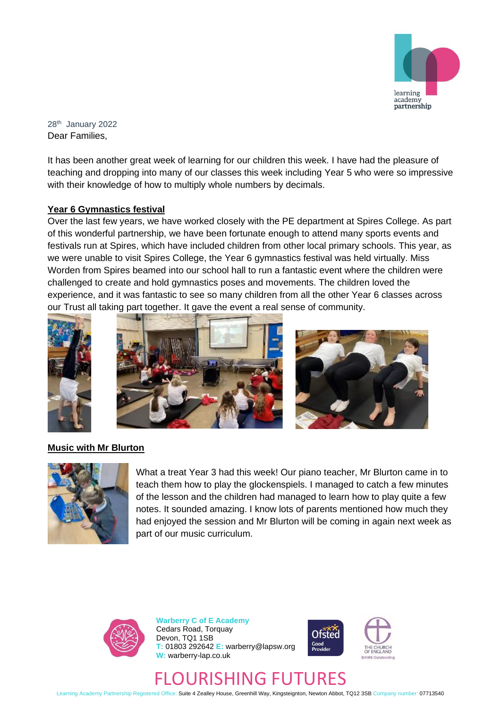

28th January 2022 Dear Families,

It has been another great week of learning for our children this week. I have had the pleasure of teaching and dropping into many of our classes this week including Year 5 who were so impressive with their knowledge of how to multiply whole numbers by decimals.

## **Year 6 Gymnastics festival**

Over the last few years, we have worked closely with the PE department at Spires College. As part of this wonderful partnership, we have been fortunate enough to attend many sports events and festivals run at Spires, which have included children from other local primary schools. This year, as we were unable to visit Spires College, the Year 6 gymnastics festival was held virtually. Miss Worden from Spires beamed into our school hall to run a fantastic event where the children were challenged to create and hold gymnastics poses and movements. The children loved the experience, and it was fantastic to see so many children from all the other Year 6 classes across our Trust all taking part together. It gave the event a real sense of community.







# **Music with Mr Blurton**



What a treat Year 3 had this week! Our piano teacher, Mr Blurton came in to teach them how to play the glockenspiels. I managed to catch a few minutes of the lesson and the children had managed to learn how to play quite a few notes. It sounded amazing. I know lots of parents mentioned how much they had enjoyed the session and Mr Blurton will be coming in again next week as part of our music curriculum.



**Warberry C of E Academy** Cedars Road, Torquay Devon, TQ1 1SB **T:** 01803 292642 **E:** warberry@lapsw.org **W:** warberry-lap.co.uk





# JURISHING FUTURES

Learning Academy Partnership Registered Office: Suite 4 Zealley House, Greenhill Way, Kingsteignton, Newton Abbot, TQ12 3SB Company number: 07713540